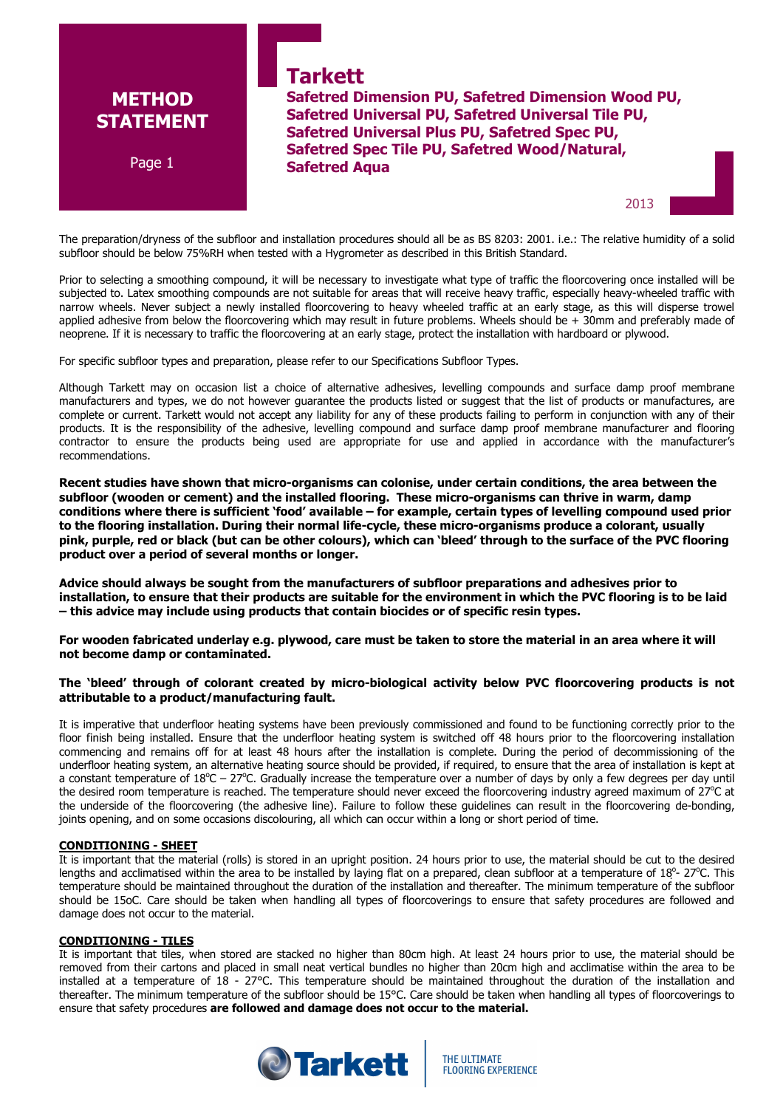

The preparation/dryness of the subfloor and installation procedures should all be as BS 8203: 2001. i.e.: The relative humidity of a solid subfloor should be below 75%RH when tested with a Hygrometer as described in this British Standard.

Prior to selecting a smoothing compound, it will be necessary to investigate what type of traffic the floorcovering once installed will be subjected to. Latex smoothing compounds are not suitable for areas that will receive heavy traffic, especially heavy-wheeled traffic with narrow wheels. Never subject a newly installed floorcovering to heavy wheeled traffic at an early stage, as this will disperse trowel applied adhesive from below the floorcovering which may result in future problems. Wheels should be + 30mm and preferably made of neoprene. If it is necessary to traffic the floorcovering at an early stage, protect the installation with hardboard or plywood.

For specific subfloor types and preparation, please refer to our Specifications Subfloor Types.

Although Tarkett may on occasion list a choice of alternative adhesives, levelling compounds and surface damp proof membrane manufacturers and types, we do not however guarantee the products listed or suggest that the list of products or manufactures, are complete or current. Tarkett would not accept any liability for any of these products failing to perform in conjunction with any of their products. It is the responsibility of the adhesive, levelling compound and surface damp proof membrane manufacturer and flooring contractor to ensure the products being used are appropriate for use and applied in accordance with the manufacturer's recommendations.

**Recent studies have shown that micro-organisms can colonise, under certain conditions, the area between the subfloor (wooden or cement) and the installed flooring. These micro-organisms can thrive in warm, damp conditions where there is sufficient 'food' available – for example, certain types of levelling compound used prior to the flooring installation. During their normal life-cycle, these micro-organisms produce a colorant, usually pink, purple, red or black (but can be other colours), which can 'bleed' through to the surface of the PVC flooring product over a period of several months or longer.** 

**Advice should always be sought from the manufacturers of subfloor preparations and adhesives prior to installation, to ensure that their products are suitable for the environment in which the PVC flooring is to be laid – this advice may include using products that contain biocides or of specific resin types.** 

**For wooden fabricated underlay e.g. plywood, care must be taken to store the material in an area where it will not become damp or contaminated.** 

### **The 'bleed' through of colorant created by micro-biological activity below PVC floorcovering products is not attributable to a product/manufacturing fault.**

It is imperative that underfloor heating systems have been previously commissioned and found to be functioning correctly prior to the floor finish being installed. Ensure that the underfloor heating system is switched off 48 hours prior to the floorcovering installation commencing and remains off for at least 48 hours after the installation is complete. During the period of decommissioning of the underfloor heating system, an alternative heating source should be provided, if required, to ensure that the area of installation is kept at a constant temperature of  $18^{\circ}$ C – 27 $^{\circ}$ C. Gradually increase the temperature over a number of days by only a few degrees per day until the desired room temperature is reached. The temperature should never exceed the floorcovering industry agreed maximum of 27°C at the underside of the floorcovering (the adhesive line). Failure to follow these guidelines can result in the floorcovering de-bonding, joints opening, and on some occasions discolouring, all which can occur within a long or short period of time.

#### **CONDITIONING - SHEET**

It is important that the material (rolls) is stored in an upright position. 24 hours prior to use, the material should be cut to the desired lengths and acclimatised within the area to be installed by laying flat on a prepared, clean subfloor at a temperature of 18°- 27°C. This temperature should be maintained throughout the duration of the installation and thereafter. The minimum temperature of the subfloor should be 15oC. Care should be taken when handling all types of floorcoverings to ensure that safety procedures are followed and damage does not occur to the material.

#### **CONDITIONING - TILES**

It is important that tiles, when stored are stacked no higher than 80cm high. At least 24 hours prior to use, the material should be removed from their cartons and placed in small neat vertical bundles no higher than 20cm high and acclimatise within the area to be installed at a temperature of 18 - 27°C. This temperature should be maintained throughout the duration of the installation and thereafter. The minimum temperature of the subfloor should be 15°C. Care should be taken when handling all types of floorcoverings to ensure that safety procedures **are followed and damage does not occur to the material.**

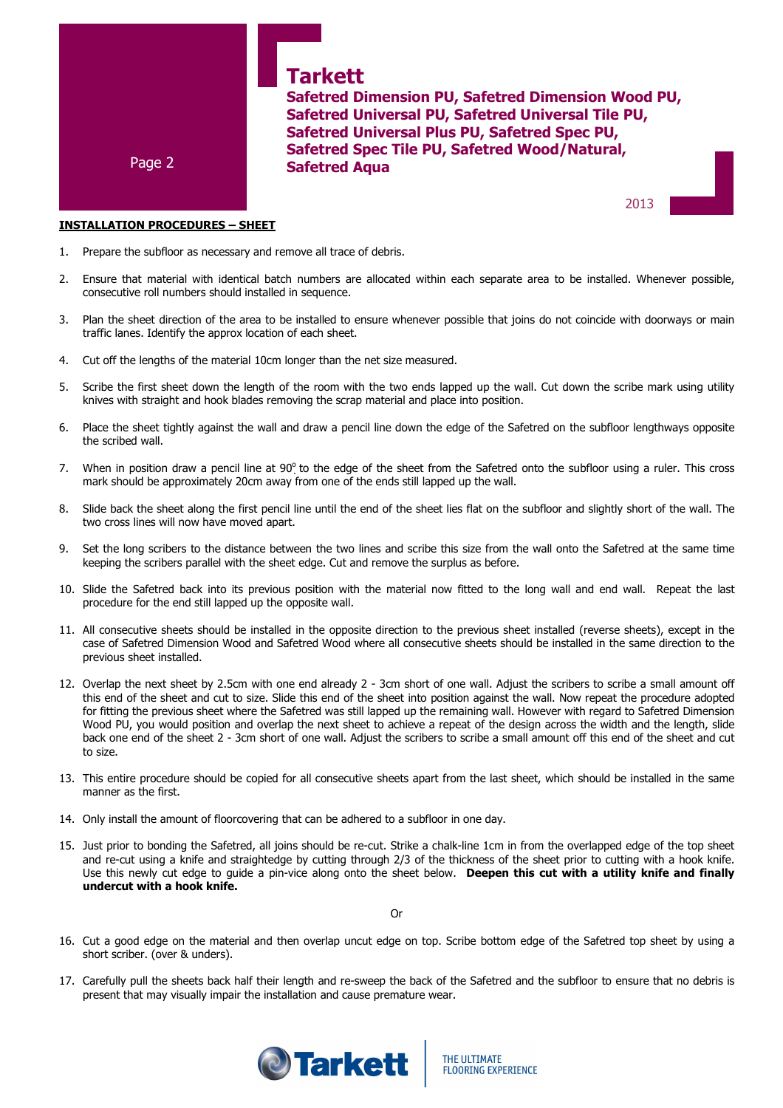

**Safetred Dimension PU, Safetred Dimension Wood PU, Safetred Universal PU, Safetred Universal Tile PU, Safetred Universal Plus PU, Safetred Spec PU, Safetred Spec Tile PU, Safetred Wood/Natural, Safetred Aqua**

2013

Page 2

### **INSTALLATION PROCEDURES – SHEET**

- 1. Prepare the subfloor as necessary and remove all trace of debris.
- 2. Ensure that material with identical batch numbers are allocated within each separate area to be installed. Whenever possible, consecutive roll numbers should installed in sequence.
- 3. Plan the sheet direction of the area to be installed to ensure whenever possible that joins do not coincide with doorways or main traffic lanes. Identify the approx location of each sheet.
- 4. Cut off the lengths of the material 10cm longer than the net size measured.
- 5. Scribe the first sheet down the length of the room with the two ends lapped up the wall. Cut down the scribe mark using utility knives with straight and hook blades removing the scrap material and place into position.
- 6. Place the sheet tightly against the wall and draw a pencil line down the edge of the Safetred on the subfloor lengthways opposite the scribed wall.
- 7. When in position draw a pencil line at  $90^\circ$  to the edge of the sheet from the Safetred onto the subfloor using a ruler. This cross mark should be approximately 20cm away from one of the ends still lapped up the wall.
- 8. Slide back the sheet along the first pencil line until the end of the sheet lies flat on the subfloor and slightly short of the wall. The two cross lines will now have moved apart.
- 9. Set the long scribers to the distance between the two lines and scribe this size from the wall onto the Safetred at the same time keeping the scribers parallel with the sheet edge. Cut and remove the surplus as before.
- 10. Slide the Safetred back into its previous position with the material now fitted to the long wall and end wall. Repeat the last procedure for the end still lapped up the opposite wall.
- 11. All consecutive sheets should be installed in the opposite direction to the previous sheet installed (reverse sheets), except in the case of Safetred Dimension Wood and Safetred Wood where all consecutive sheets should be installed in the same direction to the previous sheet installed.
- 12. Overlap the next sheet by 2.5cm with one end already 2 3cm short of one wall. Adjust the scribers to scribe a small amount off this end of the sheet and cut to size. Slide this end of the sheet into position against the wall. Now repeat the procedure adopted for fitting the previous sheet where the Safetred was still lapped up the remaining wall. However with regard to Safetred Dimension Wood PU, you would position and overlap the next sheet to achieve a repeat of the design across the width and the length, slide back one end of the sheet 2 - 3cm short of one wall. Adjust the scribers to scribe a small amount off this end of the sheet and cut to size.
- 13. This entire procedure should be copied for all consecutive sheets apart from the last sheet, which should be installed in the same manner as the first.
- 14. Only install the amount of floorcovering that can be adhered to a subfloor in one day.
- 15. Just prior to bonding the Safetred, all joins should be re-cut. Strike a chalk-line 1cm in from the overlapped edge of the top sheet and re-cut using a knife and straightedge by cutting through 2/3 of the thickness of the sheet prior to cutting with a hook knife. Use this newly cut edge to guide a pin-vice along onto the sheet below. **Deepen this cut with a utility knife and finally undercut with a hook knife.**

Or

- 16. Cut a good edge on the material and then overlap uncut edge on top. Scribe bottom edge of the Safetred top sheet by using a short scriber. (over & unders).
- 17. Carefully pull the sheets back half their length and re-sweep the back of the Safetred and the subfloor to ensure that no debris is present that may visually impair the installation and cause premature wear.

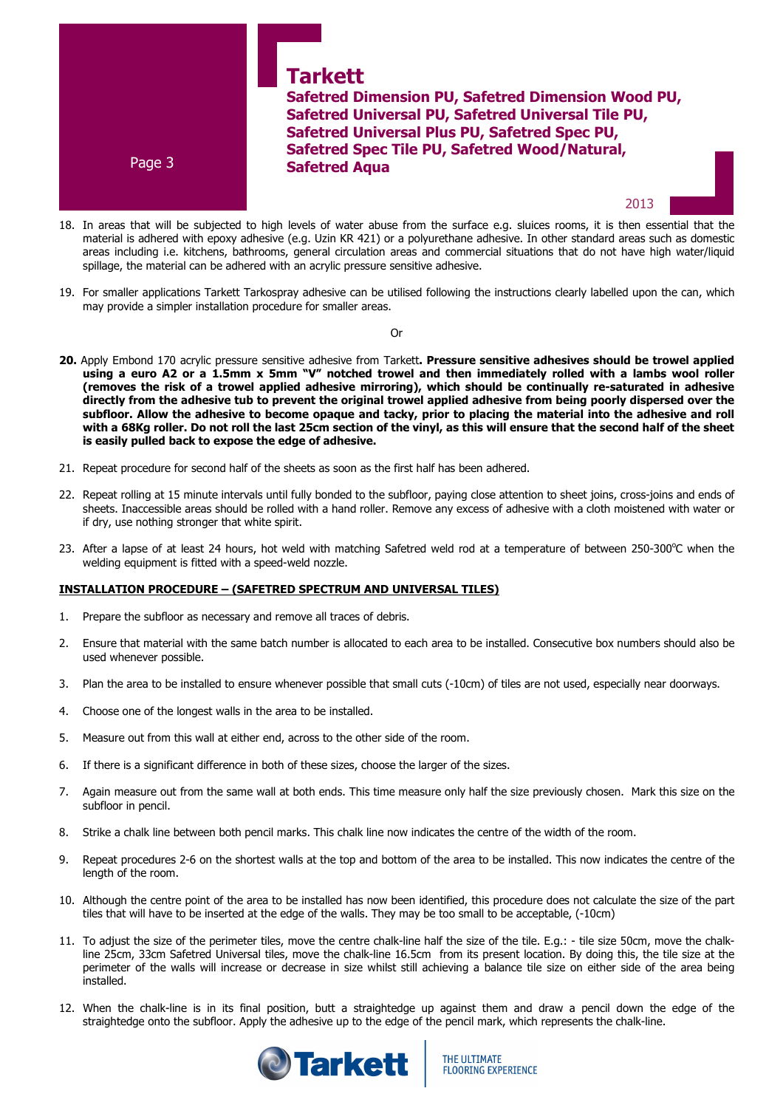

18. In areas that will be subjected to high levels of water abuse from the surface e.g. sluices rooms, it is then essential that the material is adhered with epoxy adhesive (e.g. Uzin KR 421) or a polyurethane adhesive. In other standard areas such as domestic areas including i.e. kitchens, bathrooms, general circulation areas and commercial situations that do not have high water/liquid spillage, the material can be adhered with an acrylic pressure sensitive adhesive.

19. For smaller applications Tarkett Tarkospray adhesive can be utilised following the instructions clearly labelled upon the can, which may provide a simpler installation procedure for smaller areas.

#### Or

- **20.** Apply Embond 170 acrylic pressure sensitive adhesive from Tarkett**. Pressure sensitive adhesives should be trowel applied using a euro A2 or a 1.5mm x 5mm "V" notched trowel and then immediately rolled with a lambs wool roller (removes the risk of a trowel applied adhesive mirroring), which should be continually re-saturated in adhesive directly from the adhesive tub to prevent the original trowel applied adhesive from being poorly dispersed over the subfloor. Allow the adhesive to become opaque and tacky, prior to placing the material into the adhesive and roll with a 68Kg roller. Do not roll the last 25cm section of the vinyl, as this will ensure that the second half of the sheet is easily pulled back to expose the edge of adhesive.**
- 21. Repeat procedure for second half of the sheets as soon as the first half has been adhered.
- 22. Repeat rolling at 15 minute intervals until fully bonded to the subfloor, paying close attention to sheet joins, cross-joins and ends of sheets. Inaccessible areas should be rolled with a hand roller. Remove any excess of adhesive with a cloth moistened with water or if dry, use nothing stronger that white spirit.
- 23. After a lapse of at least 24 hours, hot weld with matching Safetred weld rod at a temperature of between 250-300°C when the welding equipment is fitted with a speed-weld nozzle.

#### **INSTALLATION PROCEDURE – (SAFETRED SPECTRUM AND UNIVERSAL TILES)**

1. Prepare the subfloor as necessary and remove all traces of debris.

Page 3

- 2. Ensure that material with the same batch number is allocated to each area to be installed. Consecutive box numbers should also be used whenever possible.
- 3. Plan the area to be installed to ensure whenever possible that small cuts (-10cm) of tiles are not used, especially near doorways.
- 4. Choose one of the longest walls in the area to be installed.
- 5. Measure out from this wall at either end, across to the other side of the room.
- 6. If there is a significant difference in both of these sizes, choose the larger of the sizes.
- 7. Again measure out from the same wall at both ends. This time measure only half the size previously chosen. Mark this size on the subfloor in pencil.
- 8. Strike a chalk line between both pencil marks. This chalk line now indicates the centre of the width of the room.
- 9. Repeat procedures 2-6 on the shortest walls at the top and bottom of the area to be installed. This now indicates the centre of the length of the room.
- 10. Although the centre point of the area to be installed has now been identified, this procedure does not calculate the size of the part tiles that will have to be inserted at the edge of the walls. They may be too small to be acceptable, (-10cm)
- 11. To adjust the size of the perimeter tiles, move the centre chalk-line half the size of the tile. E.g.: tile size 50cm, move the chalkline 25cm, 33cm Safetred Universal tiles, move the chalk-line 16.5cm from its present location. By doing this, the tile size at the perimeter of the walls will increase or decrease in size whilst still achieving a balance tile size on either side of the area being installed.
- 12. When the chalk-line is in its final position, butt a straightedge up against them and draw a pencil down the edge of the straightedge onto the subfloor. Apply the adhesive up to the edge of the pencil mark, which represents the chalk-line.

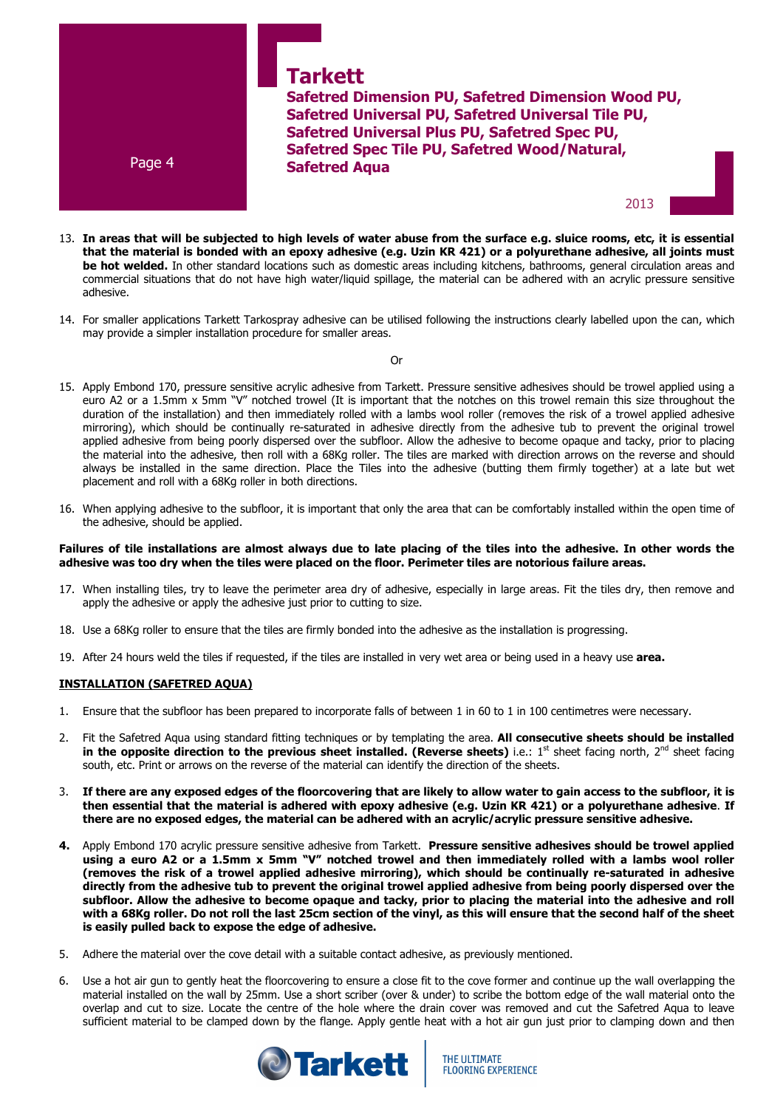

- 13. **In areas that will be subjected to high levels of water abuse from the surface e.g. sluice rooms, etc, it is essential that the material is bonded with an epoxy adhesive (e.g. Uzin KR 421) or a polyurethane adhesive, all joints must be hot welded.** In other standard locations such as domestic areas including kitchens, bathrooms, general circulation areas and commercial situations that do not have high water/liquid spillage, the material can be adhered with an acrylic pressure sensitive adhesive.
- 14. For smaller applications Tarkett Tarkospray adhesive can be utilised following the instructions clearly labelled upon the can, which may provide a simpler installation procedure for smaller areas.

Or

- 15. Apply Embond 170, pressure sensitive acrylic adhesive from Tarkett. Pressure sensitive adhesives should be trowel applied using a euro A2 or a 1.5mm x 5mm "V" notched trowel (It is important that the notches on this trowel remain this size throughout the duration of the installation) and then immediately rolled with a lambs wool roller (removes the risk of a trowel applied adhesive mirroring), which should be continually re-saturated in adhesive directly from the adhesive tub to prevent the original trowel applied adhesive from being poorly dispersed over the subfloor. Allow the adhesive to become opaque and tacky, prior to placing the material into the adhesive, then roll with a 68Kg roller. The tiles are marked with direction arrows on the reverse and should always be installed in the same direction. Place the Tiles into the adhesive (butting them firmly together) at a late but wet placement and roll with a 68Kg roller in both directions.
- 16. When applying adhesive to the subfloor, it is important that only the area that can be comfortably installed within the open time of the adhesive, should be applied.

#### **Failures of tile installations are almost always due to late placing of the tiles into the adhesive. In other words the adhesive was too dry when the tiles were placed on the floor. Perimeter tiles are notorious failure areas.**

- 17. When installing tiles, try to leave the perimeter area dry of adhesive, especially in large areas. Fit the tiles dry, then remove and apply the adhesive or apply the adhesive just prior to cutting to size.
- 18. Use a 68Kg roller to ensure that the tiles are firmly bonded into the adhesive as the installation is progressing.
- 19. After 24 hours weld the tiles if requested, if the tiles are installed in very wet area or being used in a heavy use **area.**

#### **INSTALLATION (SAFETRED AQUA)**

- 1. Ensure that the subfloor has been prepared to incorporate falls of between 1 in 60 to 1 in 100 centimetres were necessary.
- 2. Fit the Safetred Aqua using standard fitting techniques or by templating the area. **All consecutive sheets should be installed**  in the opposite direction to the previous sheet installed. (Reverse sheets) i.e.:  $1^{st}$  sheet facing north,  $2^{nd}$  sheet facing south, etc. Print or arrows on the reverse of the material can identify the direction of the sheets.
- 3. **If there are any exposed edges of the floorcovering that are likely to allow water to gain access to the subfloor, it is then essential that the material is adhered with epoxy adhesive (e.g. Uzin KR 421) or a polyurethane adhesive**. **If there are no exposed edges, the material can be adhered with an acrylic/acrylic pressure sensitive adhesive.**
- **4.** Apply Embond 170 acrylic pressure sensitive adhesive from Tarkett. **Pressure sensitive adhesives should be trowel applied using a euro A2 or a 1.5mm x 5mm "V" notched trowel and then immediately rolled with a lambs wool roller (removes the risk of a trowel applied adhesive mirroring), which should be continually re-saturated in adhesive directly from the adhesive tub to prevent the original trowel applied adhesive from being poorly dispersed over the subfloor. Allow the adhesive to become opaque and tacky, prior to placing the material into the adhesive and roll with a 68Kg roller. Do not roll the last 25cm section of the vinyl, as this will ensure that the second half of the sheet is easily pulled back to expose the edge of adhesive.**
- 5. Adhere the material over the cove detail with a suitable contact adhesive, as previously mentioned.
- 6. Use a hot air gun to gently heat the floorcovering to ensure a close fit to the cove former and continue up the wall overlapping the material installed on the wall by 25mm. Use a short scriber (over & under) to scribe the bottom edge of the wall material onto the overlap and cut to size. Locate the centre of the hole where the drain cover was removed and cut the Safetred Aqua to leave sufficient material to be clamped down by the flange. Apply gentle heat with a hot air gun just prior to clamping down and then

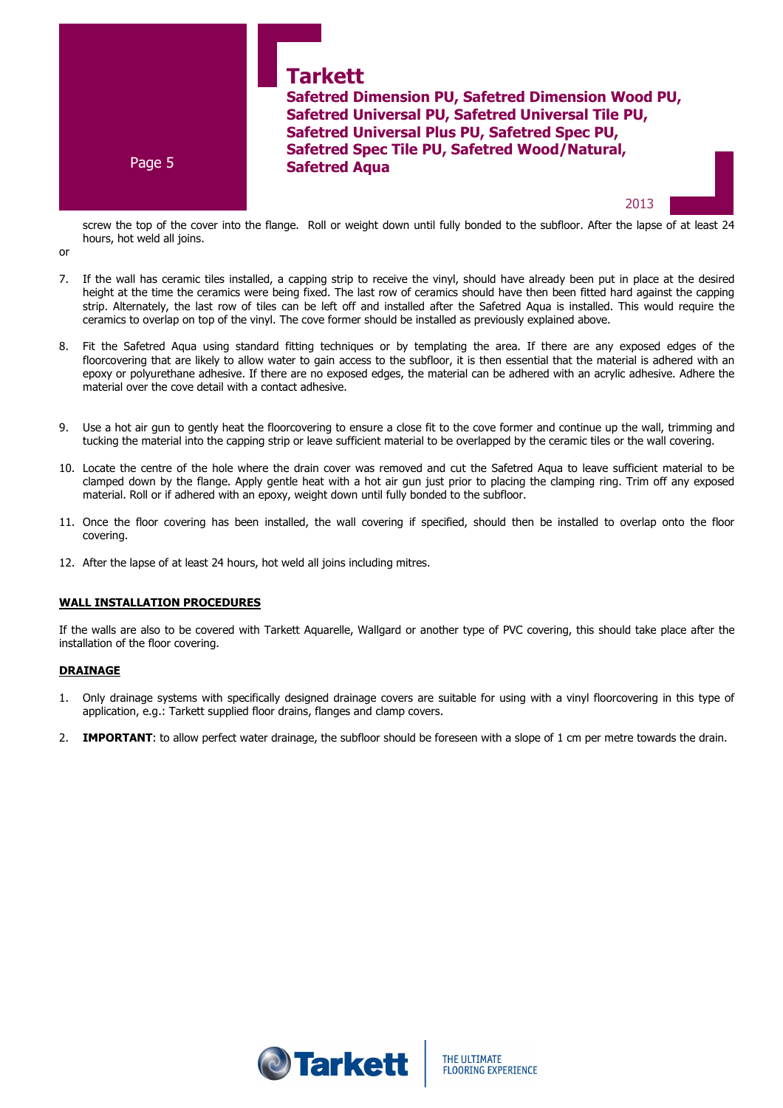

**Tarkett Safetred Dimension PU, Safetred Dimension Wood PU, Safetred Universal PU, Safetred Universal Tile PU, Safetred Universal Plus PU, Safetred Spec PU, Safetred Spec Tile PU, Safetred Wood/Natural, Safetred Aqua**

2013

screw the top of the cover into the flange. Roll or weight down until fully bonded to the subfloor. After the lapse of at least 24 hours, hot weld all joins.

- or
- 7. If the wall has ceramic tiles installed, a capping strip to receive the vinyl, should have already been put in place at the desired height at the time the ceramics were being fixed. The last row of ceramics should have then been fitted hard against the capping strip. Alternately, the last row of tiles can be left off and installed after the Safetred Aqua is installed. This would require the ceramics to overlap on top of the vinyl. The cove former should be installed as previously explained above.
- 8. Fit the Safetred Aqua using standard fitting techniques or by templating the area. If there are any exposed edges of the floorcovering that are likely to allow water to gain access to the subfloor, it is then essential that the material is adhered with an epoxy or polyurethane adhesive. If there are no exposed edges, the material can be adhered with an acrylic adhesive. Adhere the material over the cove detail with a contact adhesive.
- 9. Use a hot air gun to gently heat the floorcovering to ensure a close fit to the cove former and continue up the wall, trimming and tucking the material into the capping strip or leave sufficient material to be overlapped by the ceramic tiles or the wall covering.
- 10. Locate the centre of the hole where the drain cover was removed and cut the Safetred Aqua to leave sufficient material to be clamped down by the flange. Apply gentle heat with a hot air gun just prior to placing the clamping ring. Trim off any exposed material. Roll or if adhered with an epoxy, weight down until fully bonded to the subfloor.
- 11. Once the floor covering has been installed, the wall covering if specified, should then be installed to overlap onto the floor covering.
- 12. After the lapse of at least 24 hours, hot weld all joins including mitres.

 $\mathbf{r}$ 

# **WALL INSTALLATION PROCEDURES**

If the walls are also to be covered with Tarkett Aquarelle, Wallgard or another type of PVC covering, this should take place after the installation of the floor covering.

#### **DRAINAGE**

- 1. Only drainage systems with specifically designed drainage covers are suitable for using with a vinyl floorcovering in this type of application, e.g.: Tarkett supplied floor drains, flanges and clamp covers.
- 2. **IMPORTANT**: to allow perfect water drainage, the subfloor should be foreseen with a slope of 1 cm per metre towards the drain.

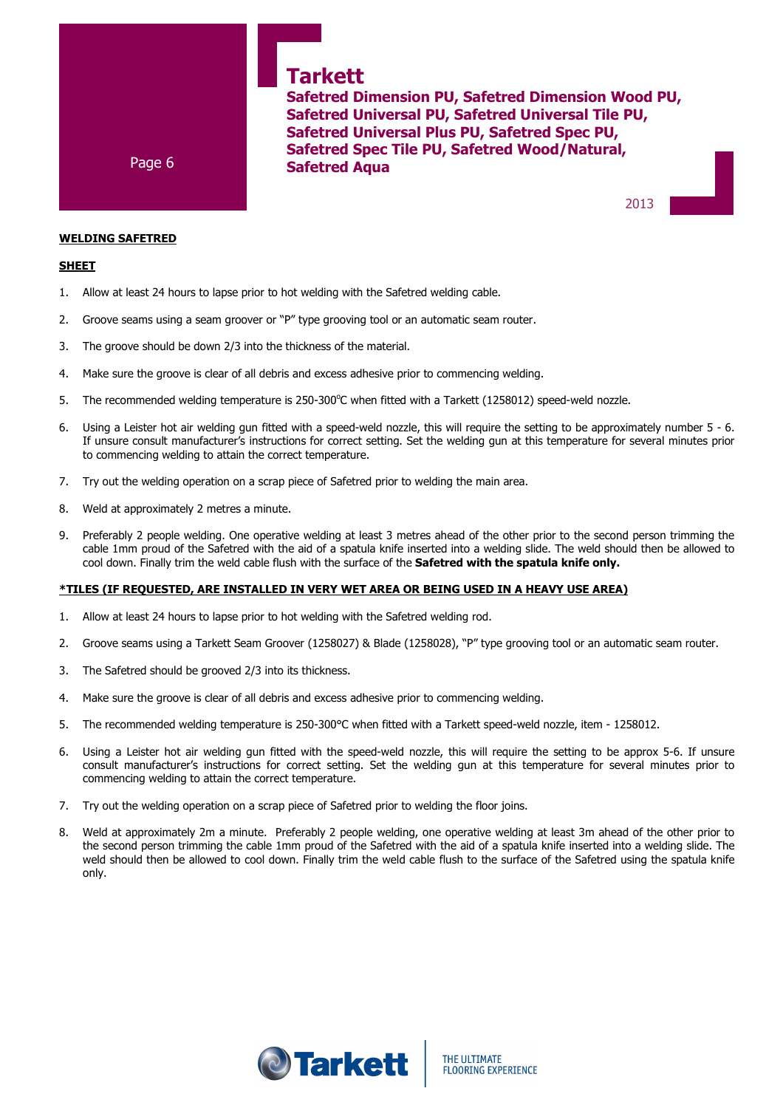# **Tarkett**

**Safetred Dimension PU, Safetred Dimension Wood PU, Safetred Universal PU, Safetred Universal Tile PU, Safetred Universal Plus PU, Safetred Spec PU, Safetred Spec Tile PU, Safetred Wood/Natural, Safetred Aqua**

2013

Page 6

**WELDING SAFETRED** 

## **SHEET**

- 1. Allow at least 24 hours to lapse prior to hot welding with the Safetred welding cable.
- 2. Groove seams using a seam groover or "P" type grooving tool or an automatic seam router.
- 3. The groove should be down 2/3 into the thickness of the material.
- 4. Make sure the groove is clear of all debris and excess adhesive prior to commencing welding.
- 5. The recommended welding temperature is  $250-300^{\circ}$ C when fitted with a Tarkett (1258012) speed-weld nozzle.
- 6. Using a Leister hot air welding gun fitted with a speed-weld nozzle, this will require the setting to be approximately number 5 6. If unsure consult manufacturer's instructions for correct setting. Set the welding gun at this temperature for several minutes prior to commencing welding to attain the correct temperature.
- 7. Try out the welding operation on a scrap piece of Safetred prior to welding the main area.
- 8. Weld at approximately 2 metres a minute.
- 9. Preferably 2 people welding. One operative welding at least 3 metres ahead of the other prior to the second person trimming the cable 1mm proud of the Safetred with the aid of a spatula knife inserted into a welding slide. The weld should then be allowed to cool down. Finally trim the weld cable flush with the surface of the **Safetred with the spatula knife only.**

#### **\*TILES (IF REQUESTED, ARE INSTALLED IN VERY WET AREA OR BEING USED IN A HEAVY USE AREA)**

- 1. Allow at least 24 hours to lapse prior to hot welding with the Safetred welding rod.
- 2. Groove seams using a Tarkett Seam Groover (1258027) & Blade (1258028), "P" type grooving tool or an automatic seam router.
- 3. The Safetred should be grooved 2/3 into its thickness.
- 4. Make sure the groove is clear of all debris and excess adhesive prior to commencing welding.
- 5. The recommended welding temperature is 250-300°C when fitted with a Tarkett speed-weld nozzle, item 1258012.
- 6. Using a Leister hot air welding gun fitted with the speed-weld nozzle, this will require the setting to be approx 5-6. If unsure consult manufacturer's instructions for correct setting. Set the welding gun at this temperature for several minutes prior to commencing welding to attain the correct temperature.
- 7. Try out the welding operation on a scrap piece of Safetred prior to welding the floor joins.
- 8. Weld at approximately 2m a minute. Preferably 2 people welding, one operative welding at least 3m ahead of the other prior to the second person trimming the cable 1mm proud of the Safetred with the aid of a spatula knife inserted into a welding slide. The weld should then be allowed to cool down. Finally trim the weld cable flush to the surface of the Safetred using the spatula knife only.